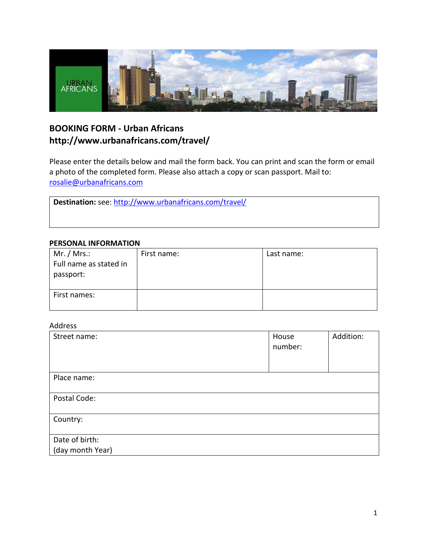

# **BOOKING FORM - Urban Africans http://www.urbanafricans.com/travel/**

Please enter the details below and mail the form back. You can print and scan the form or email a photo of the completed form. Please also attach a copy or scan passport. Mail to: [rosalie@urbanafricans.com](mailto:rosalie@urbanafricans.com)

**Destination:** see:<http://www.urbanafricans.com/travel/>

### **PERSONAL INFORMATION**

| Mr. / Mrs.:<br>Full name as stated in<br>passport: | First name: | Last name: |
|----------------------------------------------------|-------------|------------|
| First names:                                       |             |            |

### Address

| Street name:     | House<br>number: | Addition: |
|------------------|------------------|-----------|
| Place name:      |                  |           |
| Postal Code:     |                  |           |
| Country:         |                  |           |
| Date of birth:   |                  |           |
| (day month Year) |                  |           |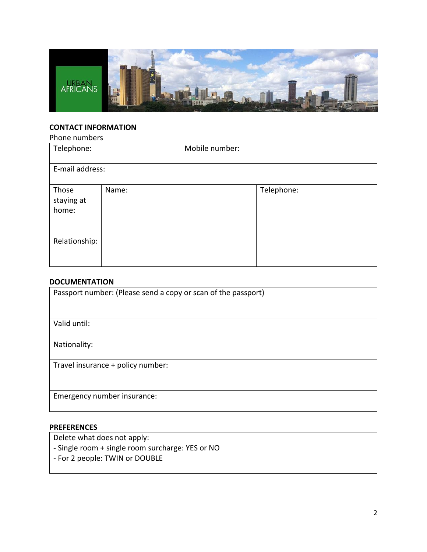

## **CONTACT INFORMATION**

| Phone numbers                |       |                |            |
|------------------------------|-------|----------------|------------|
| Telephone:                   |       | Mobile number: |            |
| E-mail address:              |       |                |            |
| Those<br>staying at<br>home: | Name: |                | Telephone: |
| Relationship:                |       |                |            |

### **DOCUMENTATION**

| Passport number: (Please send a copy or scan of the passport) |
|---------------------------------------------------------------|
| Valid until:                                                  |
|                                                               |
| Nationality:                                                  |
| Travel insurance + policy number:                             |
|                                                               |
| Emergency number insurance:                                   |

## **PREFERENCES**

Delete what does not apply:

- Single room + single room surcharge: YES or NO
- For 2 people: TWIN or DOUBLE